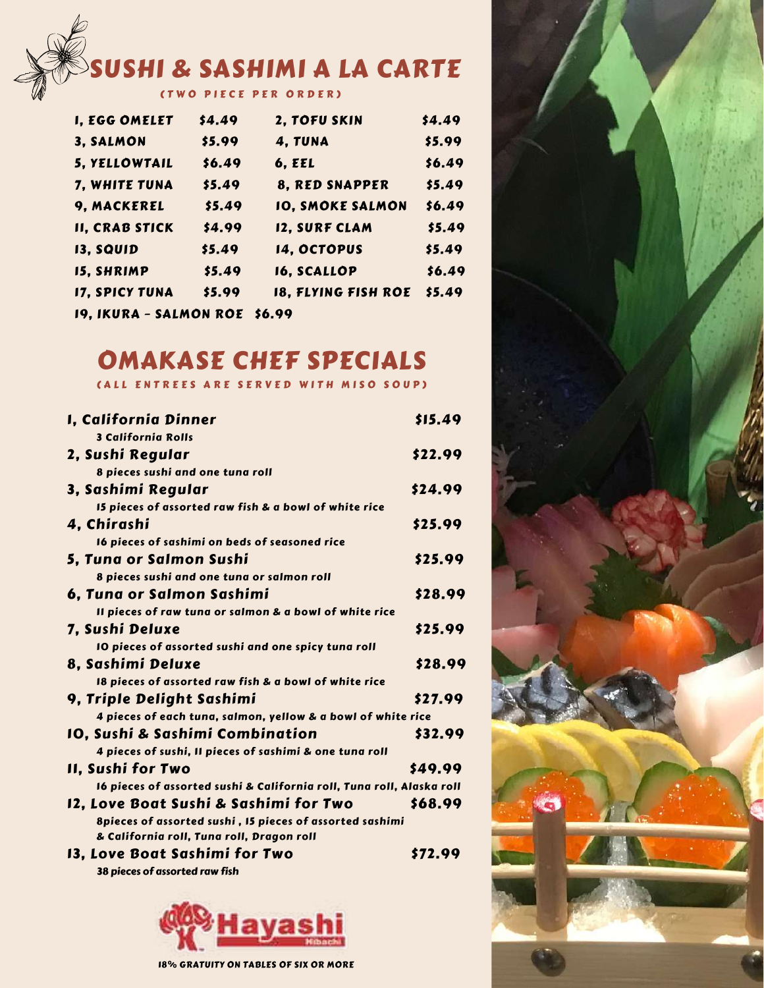# SUSHI & SASHIMI A LA CARTE

( T W O P I E C E P E R O R D E R )

| <b>I, EGG OMELET</b>          | \$4.49 | 2, TOFU SKIN            | \$4.49 |
|-------------------------------|--------|-------------------------|--------|
| 3, SALMON                     | \$5.99 | 4, TUNA                 | \$5.99 |
| 5, YELLOWTAIL                 | \$6.49 | <b>6, EEL</b>           | \$6.49 |
| 7, WHITE TUNA                 | \$5.49 | 8, RED SNAPPER          | \$5.49 |
| 9, MACKEREL                   | \$5.49 | <b>IO, SMOKE SALMON</b> | \$6.49 |
| <b>II, CRAB STICK</b>         | \$4.99 | 12, SURF CLAM           | \$5.49 |
| 13, SQUID                     | \$5.49 | 14, OCTOPUS             | \$5.49 |
| <b>15, SHRIMP</b>             | \$5.49 | 16, SCALLOP             | \$6.49 |
| <b>17, SPICY TUNA</b>         | \$5.99 | 18, FLYING FISH ROE     | \$5.49 |
| 19, IKURA - SALMON ROE \$6.99 |        |                         |        |

# OMAKASE CHEF SPECIALS

( A L L E N T R E E S A R E S E R V E D W I T H M I S O S O U P )

| I, California Dinner                                                  | \$15.49 |
|-----------------------------------------------------------------------|---------|
| <b>3 California Rolls</b>                                             |         |
| 2, Sushi Regular                                                      | \$22.99 |
| 8 pieces sushi and one tuna roll                                      |         |
| 3, Sashimi Regular                                                    | \$24.99 |
| I5 pieces of assorted raw fish & a bowl of white rice                 |         |
| 4, Chirashi                                                           | \$25.99 |
| 16 pieces of sashimi on beds of seasoned rice                         |         |
| 5, Tuna or Salmon Sushi                                               | \$25.99 |
| 8 pieces sushi and one tuna or salmon roll                            |         |
| 6, Tuna or Salmon Sashimi                                             | \$28.99 |
| Il pieces of raw tuna or salmon & a bowl of white rice                |         |
| 7, Sushi Deluxe                                                       | \$25.99 |
| 10 pieces of assorted sushi and one spicy tuna roll                   |         |
| 8, Sashimi Deluxe                                                     | \$28.99 |
| 18 pieces of assorted raw fish & a bowl of white rice                 |         |
| 9, Triple Delight Sashimi                                             | \$27.99 |
| 4 pieces of each tuna, salmon, yellow & a bowl of white rice          |         |
| IO, Sushi & Sashimi Combination                                       | \$32.99 |
| 4 pieces of sushi, II pieces of sashimi & one tuna roll               |         |
| II, Sushi for Two                                                     | \$49.99 |
| 16 pieces of assorted sushi & California roll, Tuna roll, Alaska roll |         |
| 12, Love Boat Sushi & Sashimi for Two                                 | \$68.99 |
| 8pieces of assorted sushi, 15 pieces of assorted sashimi              |         |
| & California roll, Tuna roll, Dragon roll                             |         |
| 13, Love Boat Sashimi for Two                                         | \$72.99 |

38 pieces of assorted raw fish





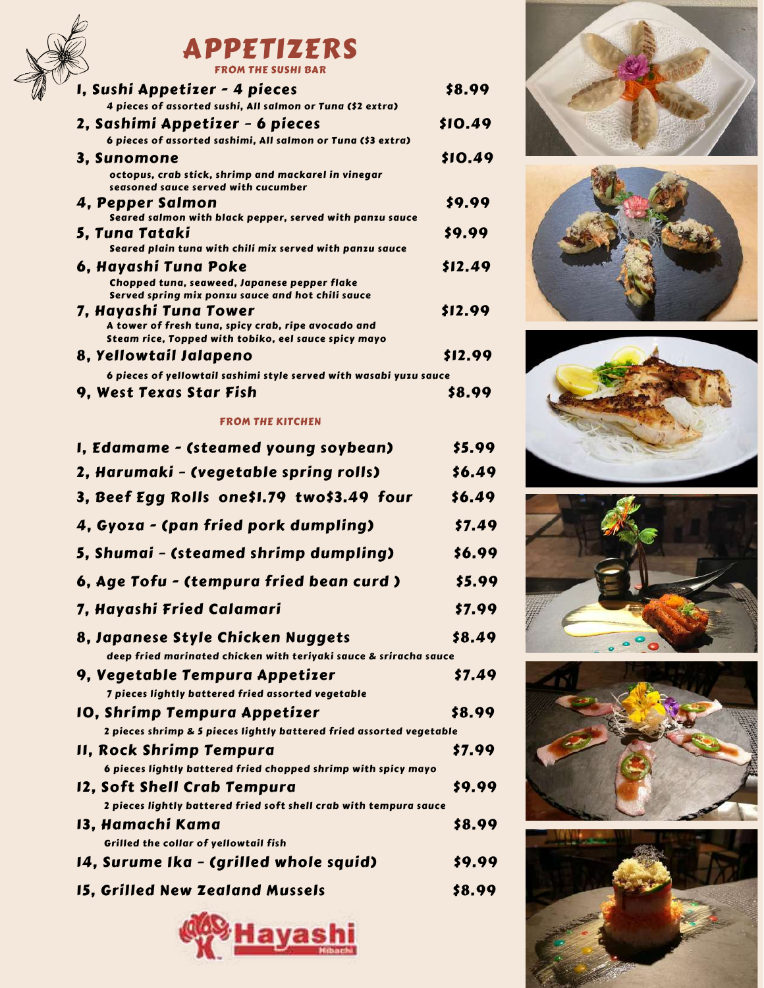

## APPETIZERS FROM THE SUSHI BAR

| I, Sushi Appetizer - 4 pieces                                                                                                        | \$8.99  |
|--------------------------------------------------------------------------------------------------------------------------------------|---------|
| 4 pieces of assorted sushi, All salmon or Tuna (\$2 extra)                                                                           |         |
| 2, Sashimi Appetizer - 6 pieces                                                                                                      | \$10.49 |
| 6 pieces of assorted sashimi, All salmon or Tuna (\$3 extra)                                                                         |         |
| 3, Sunomone                                                                                                                          | \$10.49 |
| octopus, crab stick, shrimp and mackarel in vinegar<br>seasoned sauce served with cucumber                                           |         |
| 4, Pepper Salmon<br>Seared salmon with black pepper, served with panzu sauce                                                         | \$9.99  |
| 5, Tuna Tataki<br>Seared plain tuna with chili mix served with panzu sauce                                                           | \$9.99  |
| 6, Hayashi Tuna Poke<br>Chopped tuna, seaweed, Japanese pepper flake<br>Served spring mix ponzu sauce and hot chili sauce            | \$12.49 |
| 7, Hayashi Tuna Tower<br>A tower of fresh tuna, spicy crab, ripe avocado and<br>Steam rice, Topped with tobiko, eel sauce spicy mayo | \$12.99 |
| 8, Yellowtail Jalapeno                                                                                                               | \$12.99 |
| 6 pieces of yellowtail sashimi style served with wasabi yuzu sauce                                                                   |         |
| 9, West Texas Star Fish                                                                                                              | 58.99   |

#### FROM THE KITCHEN

| I, Edamame - (steamed young soybean)                                                                   | \$5.99 |
|--------------------------------------------------------------------------------------------------------|--------|
| 2, Harumaki - (vegetable spring rolls)                                                                 | \$6.49 |
| 3, Beef Egg Rolls one\$1.79 two\$3.49 four                                                             | \$6.49 |
| 4, Gyoza - (pan fried pork dumpling)                                                                   | \$7.49 |
| 5, Shumai - (steamed shrimp dumpling)                                                                  | \$6.99 |
| 6, Age Tofu - (tempura fried bean curd)                                                                | \$5.99 |
| 7, Hayashi Fried Calamari                                                                              | \$7.99 |
| 8, Japanese Style Chicken Nuggets<br>deep fried marinated chicken with teriyaki sauce & sriracha sauce | \$8.49 |
| 9, Vegetable Tempura Appetizer<br>7 pieces lightly battered fried assorted vegetable                   | \$7.49 |
| 10, Shrimp Tempura Appetizer<br>2 pieces shrimp & 5 pieces lightly battered fried assorted vegetable   | \$8.99 |
| II, Rock Shrimp Tempura<br>6 pieces lightly battered fried chopped shrimp with spicy mayo              | \$7.99 |
| 12, Soft Shell Crab Tempura<br>2 pieces lightly battered fried soft shell crab with tempura sauce      | \$9.99 |
| 13, Hamachi Kama<br>Grilled the collar of yellowtail fish                                              | \$8.99 |
| 14, Surume Ika - (grilled whole squid)                                                                 | \$9.99 |
| <b>15, Grilled New Zealand Mussels</b>                                                                 | \$8.99 |













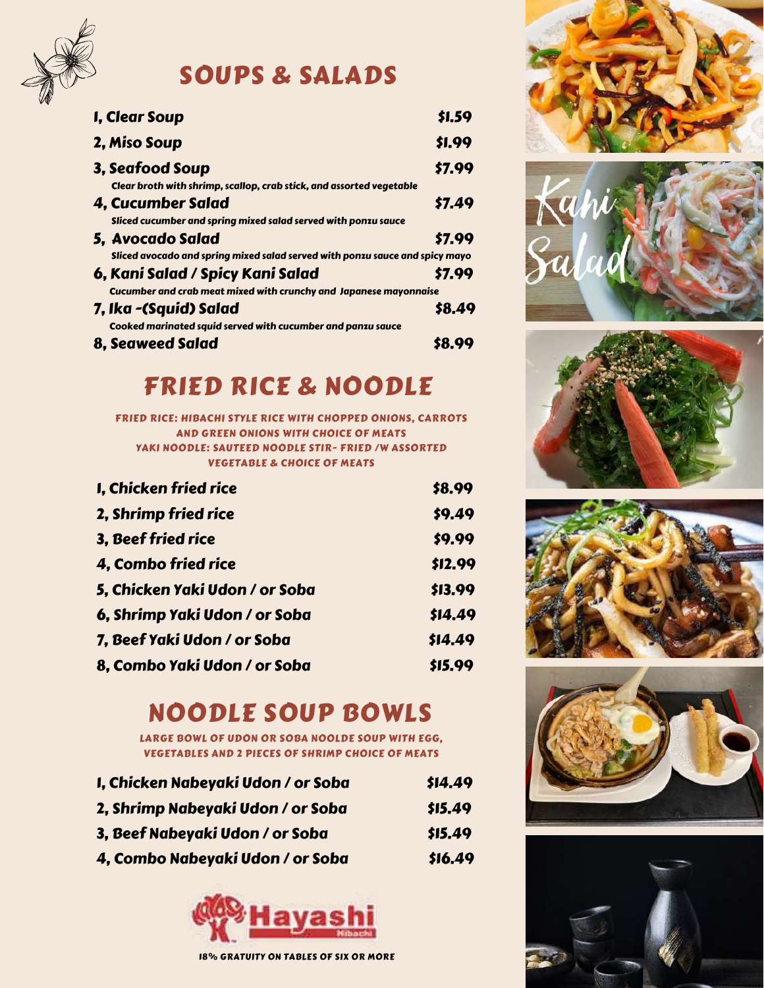

SOUPS & SALADS

| I, Clear Soup                                                                | \$1.59 |
|------------------------------------------------------------------------------|--------|
| 2, Miso Soup                                                                 | \$1.99 |
| 3, Seafood Soup                                                              | \$7.99 |
| Clear broth with shrimp, scallop, crab stick, and assorted vegetable         |        |
| 4, Cucumber Salad                                                            | \$7.49 |
| Sliced cucumber and spring mixed salad served with ponzu sauce               |        |
| 5, Avocado Salad                                                             | \$7.99 |
| Sliced avocado and spring mixed salad served with ponzu sauce and spicy mayo |        |
| 6, Kani Salad / Spicy Kani Salad                                             | \$7.99 |
| Cucumber and crab meat mixed with crunchy and Japanese mayonnaise            |        |
| 7, Ika -(Squid) Salad                                                        | \$8.49 |
| Cooked marinated squid served with cucumber and panzu sauce                  |        |
| <b>8. Seaweed Salad</b>                                                      | \$8.99 |

# FRIED RICE & NOODLE

FRIED RICE: HIBACHI STYLE RICE WITH CHOPPED ONIONS, CARROTS AND GREEN ONIONS WITH CHOICE OF MEATS YAKI NOODLE: SAUTEED NOODLE STIR- FRIED /W ASSORTED VEGETABLE & CHOICE OF MEATS

| I, Chicken fried rice          | \$8.99  |
|--------------------------------|---------|
| 2, Shrimp fried rice           | \$9.49  |
| 3, Beef fried rice             | \$9.99  |
| 4, Combo fried rice            | \$12.99 |
| 5, Chicken Yaki Udon / or Soba | \$13.99 |
| 6, Shrimp Yaki Udon / or Soba  | \$14.49 |
| 7, Beef Yaki Udon / or Soba    | \$14.49 |
| 8, Combo Yaki Udon / or Soba   | \$15.99 |

# NOODLE SOUP BOWLS

LARGE BOWL OF UDON OR SOBA NOOLDE SOUP WITH EGG, VEGETABLES AND 2 PIECES OF SHRIMP CHOICE OF MEATS

| I, Chicken Nabeyaki Udon / or Soba | \$14.49 |
|------------------------------------|---------|
| 2, Shrimp Nabeyaki Udon / or Soba  | \$15.49 |
| 3, Beef Nabeyaki Udon / or Soba    | \$15.49 |
| 4, Combo Nabeyaki Udon / or Soba   | \$16.49 |













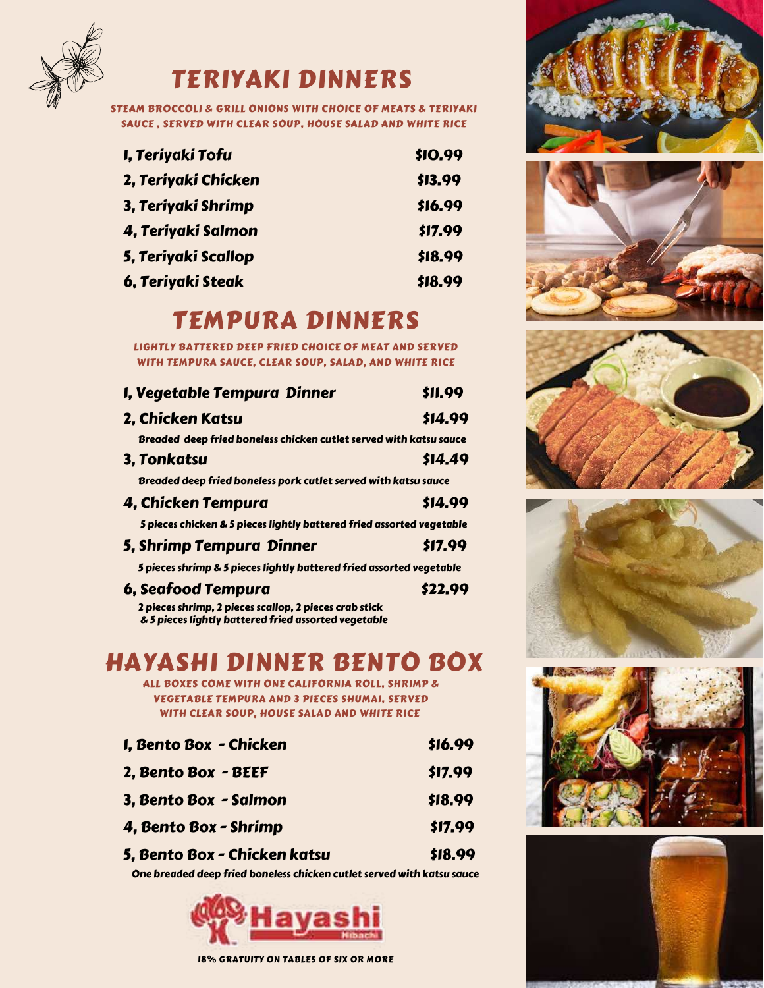

# TERIYAKI DINNERS

STEAM BROCCOLI & GRILL ONIONS WITH CHOICE OF MEATS & TERIYAKI SAUCE , SERVED WITH CLEAR SOUP, HOUSE SALAD AND WHITE RICE

| I, Teriyaki Tofu    | \$10.99 |
|---------------------|---------|
| 2, Teriyaki Chicken | \$13.99 |
| 3, Teriyaki Shrimp  | \$16.99 |
| 4, Teriyaki Salmon  | \$17.99 |
| 5, Teriyaki Scallop | \$18.99 |
| 6, Teriyaki Steak   | \$18.99 |

# TEMPURA DINNERS

LIGHTLY BATTERED DEEP FRIED CHOICE OF MEAT AND SERVED WITH TEMPURA SAUCE, CLEAR SOUP, SALAD, AND WHITE RICE

| I, Vegetable Tempura Dinner                                           | \$11.99 |
|-----------------------------------------------------------------------|---------|
| 2, Chicken Katsu                                                      | \$14.99 |
| Breaded deep fried boneless chicken cutlet served with katsu sauce    |         |
| 3, Tonkatsu                                                           | \$14.49 |
| Breaded deep fried boneless pork cutlet served with katsu sauce       |         |
| 4, Chicken Tempura                                                    | \$14.99 |
| 5 pieces chicken & 5 pieces lightly battered fried assorted vegetable |         |
| 5, Shrimp Tempura Dinner                                              | \$17.99 |
| 5 pieces shrimp & 5 pieces lightly battered fried assorted vegetable  |         |
| <b>6, Seafood Tempura</b>                                             | \$22.99 |

 2 pieces shrimp, 2 pieces scallop, 2 pieces crab stick & 5 pieces lightly battered fried assorted vegetable

# HAYASHI DINNER BENTO BOX

ALL BOXES COME WITH ONE CALIFORNIA ROLL, SHRIMP & VEGETABLE TEMPURA AND 3 PIECES SHUMAI, SERVED WITH CLEAR SOUP, HOUSE SALAD AND WHITE RICE

| I, Bento Box - Chicken       | \$16.99 |  |
|------------------------------|---------|--|
| 2, Bento Box - BEEF          | \$17.99 |  |
| 3, Bento Box - Salmon        | \$18.99 |  |
| 4, Bento Box - Shrimp        | \$17.99 |  |
| 5, Bento Box - Chicken katsu | \$18.99 |  |

One breaded deep fried boneless chicken cutlet served with katsu sauce















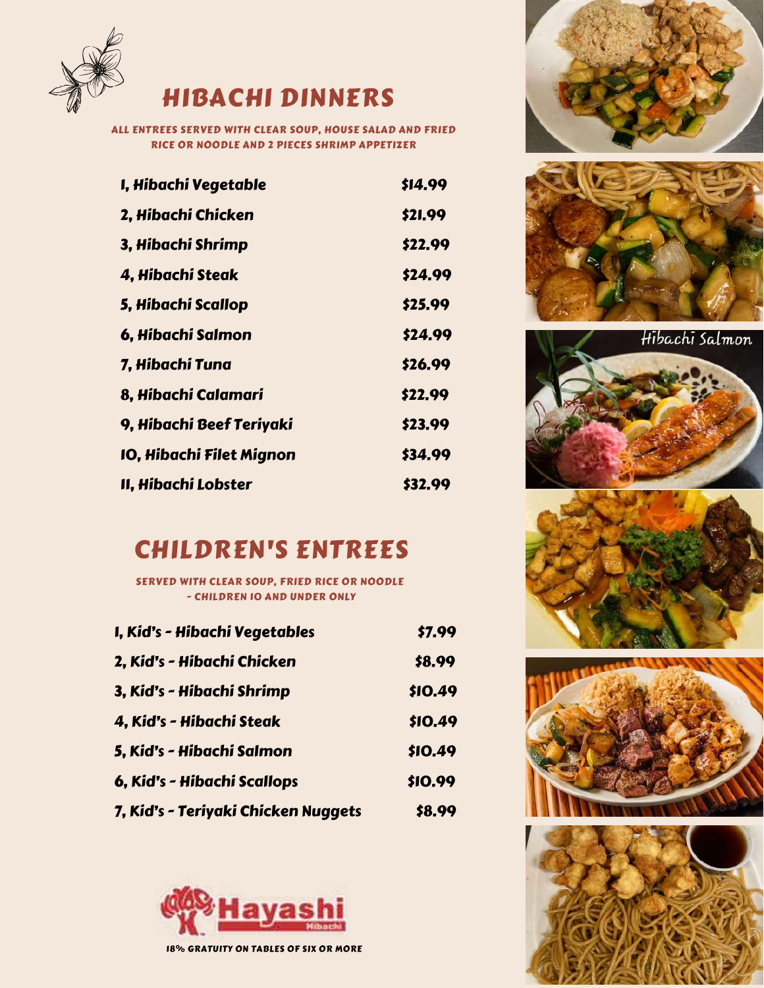

# HIBACHI DINNERS

ALL ENTREES SERVED WITH CLEAR SOUP, HOUSE SALAD AND FRIED RICE OR NOODLE AND 2 PIECES SHRIMP APPETIZER

| I, Hibachi Vegetable     | \$14.99 |
|--------------------------|---------|
| 2, Hibachi Chicken       | \$21.99 |
| 3, Hibachi Shrimp        | \$22.99 |
| 4, Hibachi Steak         | \$24.99 |
| 5, Hibachi Scallop       | \$25.99 |
| 6, Hibachi Salmon        | \$24.99 |
| 7, Hibachi Tuna          | \$26.99 |
| 8, Hibachi Calamari      | \$22.99 |
| 9, Hibachi Beef Teriyaki | \$23.99 |
| IO, Hibachi Filet Mignon | \$34.99 |
| II, Hibachi Lobster      | \$32.99 |

# CHILDREN'S ENTREES

SERVED WITH CLEAR SOUP, FRIED RICE OR NOODLE - CHILDREN 10 AND UNDER ONLY

| I, Kid's - Hibachi Vegetables       | \$7.99         |
|-------------------------------------|----------------|
| 2, Kid's - Hibachi Chicken          | \$8.99         |
| 3, Kid's - Hibachi Shrimp           | \$10.49        |
| 4, Kid's - Hibachi Steak            | <b>\$10.49</b> |
| 5, Kid's - Hibachi Salmon           | \$10.49        |
| 6, Kid's - Hibachi Scallops         | \$10.99        |
| 7, Kid's - Teriyaki Chicken Nuggets | \$8.99         |













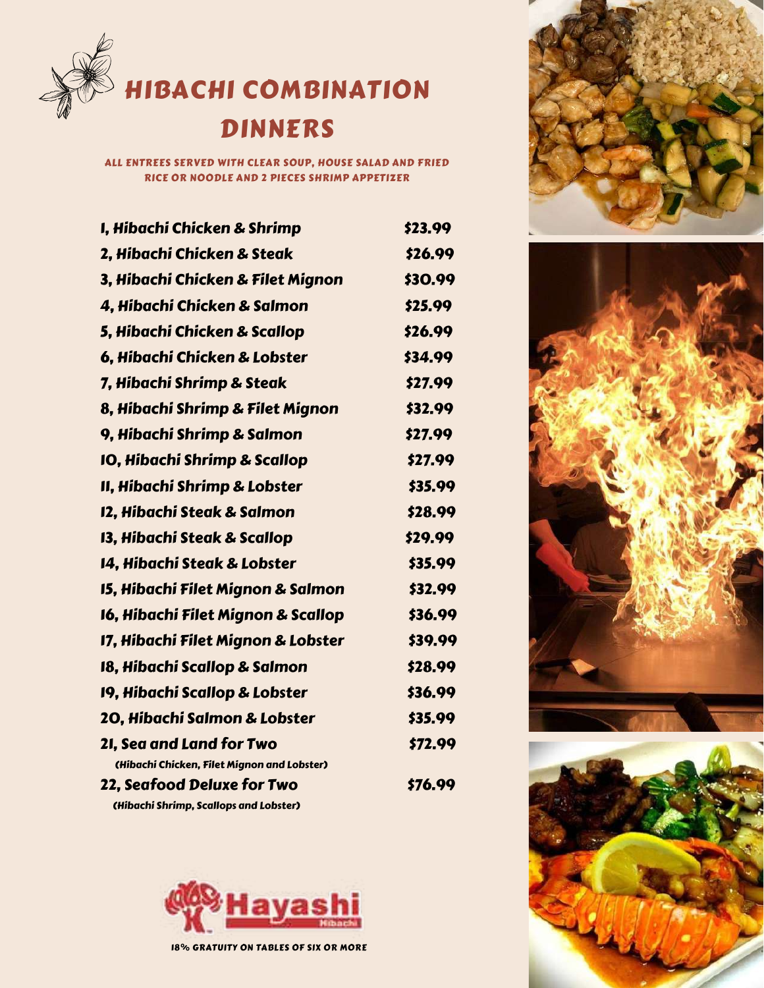

# DINNERS

ALL ENTREES SERVED WITH CLEAR SOUP, HOUSE SALAD AND FRIED RICE OR NOODLE AND 2 PIECES SHRIMP APPETIZER

| I, Hibachi Chicken & Shrimp                 | \$23.99 |
|---------------------------------------------|---------|
| 2. Hibachi Chicken & Steak                  | \$26.99 |
| 3, Hibachi Chicken & Filet Mignon           | \$30.99 |
| 4, Hibachi Chicken & Salmon                 | \$25.99 |
| 5, Hibachi Chicken & Scallop                | \$26.99 |
| 6, Hibachi Chicken & Lobster                | \$34.99 |
| 7, Hibachi Shrimp & Steak                   | \$27.99 |
| 8, Hibachi Shrimp & Filet Mignon            | \$32.99 |
| 9, Hibachi Shrimp & Salmon                  | \$27.99 |
| <b>10, Hibachi Shrimp &amp; Scallop</b>     | \$27.99 |
| II, Hibachi Shrimp & Lobster                | \$35.99 |
| 12, Hibachi Steak & Salmon                  | \$28.99 |
| 13, Hibachi Steak & Scallop                 | \$29.99 |
| 14, Hibachi Steak & Lobster                 | \$35.99 |
| 15, Hibachi Filet Mignon & Salmon           | \$32.99 |
| 16, Hibachi Filet Mignon & Scallop          | \$36.99 |
| 17, Hibachi Filet Mignon & Lobster          | \$39.99 |
| 18, Hibachi Scallop & Salmon                | \$28.99 |
| 19, Hibachi Scallop & Lobster               | \$36.99 |
| 20, Hibachi Salmon & Lobster                | \$35.99 |
| 2I, Sea and Land for Two                    | \$72.99 |
| (Hibachi Chicken, Filet Mignon and Lobster) |         |
| 22, Seafood Deluxe for Two                  | \$76.99 |
| (Hibachi Shrimp, Scallops and Lobster)      |         |





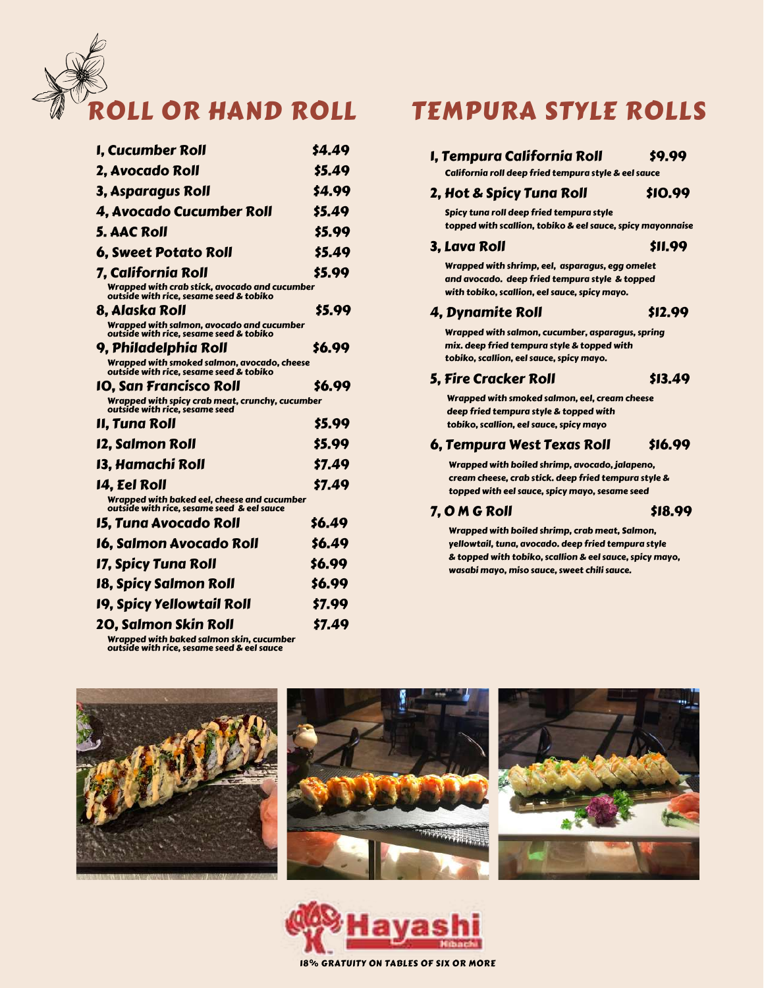

| I, Cucumber Roll                                                                          | \$4.49 |
|-------------------------------------------------------------------------------------------|--------|
| 2. Avocado Roll                                                                           | \$5.49 |
| 3, Asparagus Roll                                                                         | \$4.99 |
|                                                                                           |        |
| 4. Avocado Cucumber Roll                                                                  | \$5.49 |
| <b>5. AAC Roll</b>                                                                        | \$5.99 |
| <b>6, Sweet Potato Roll</b>                                                               | \$5.49 |
| 7, California Roll                                                                        | \$5.99 |
| Wrapped with crab stick, avocado and cucumber<br>outside with rice, sesame seed & tobiko  |        |
| 8. Alaska Roll                                                                            | \$5.99 |
| Wrapped with salmon, avocado and cucumber<br>outside with rice, sesame seed & tobiko      |        |
| 9, Philadelphia Roll                                                                      | \$6.99 |
| Wrapped with smoked salmon, avocado, cheese<br>outside with rice, sesame seed & tobiko    |        |
| IO. San Francisco Roll                                                                    | \$6.99 |
| Wrapped with spicy crab meat, crunchy, cucumber<br>outside with rice, sesame seed         |        |
| II, Tuna Roll                                                                             | \$5.99 |
| 12, Salmon Roll                                                                           | \$5.99 |
| 13. Hamachi Roll                                                                          | \$7.49 |
| 14. Eel Roll                                                                              | \$7.49 |
| Wrapped with baked eel, cheese and cucumber<br>outside with rice, sesame seed & eel sauce |        |
| 15. Tuna Avocado Roll                                                                     | \$6.49 |
| 16. Salmon Avocado Roll                                                                   | \$6.49 |
| 17, Spicy Tuna Roll                                                                       | \$6.99 |
|                                                                                           | \$6.99 |
| 18, Spicy Salmon Roll                                                                     |        |
| 19, Spicy Yellowtail Roll                                                                 | \$7.99 |

Wrapped with baked salmon skin, cucumber outside with rice, sesame seed & eel sauce

# TEMPURA STYLE ROLLS

### 1, Tempura California Roll  $\left(9.99\right)$

California roll deep fried tempura style & eel sauce

#### 2, Hot & Spicy Tuna Roll \$10.99

 Spicy tuna roll deep fried tempura style topped with scallion, tobiko & eel sauce, spicy mayonnaise

#### 3. Lava Roll **\$11.99**

 Wrapped with shrimp, eel, asparagus, egg omelet and avocado. deep fried tempura style & topped with tobiko, scallion, eel sauce, spicy mayo.

#### 4. Dynamite Roll \$12.99

 Wrapped with salmon, cucumber, asparagus, spring mix. deep fried tempura style & topped with tobiko, scallion, eel sauce, spicy mayo.

#### 5. Fire Cracker Roll \$13.49

 Wrapped with smoked salmon, eel, cream cheese deep fried tempura style & topped with tobiko, scallion, eel sauce, spicy mayo

#### 6, Tempura West Texas Roll \$16.99

 Wrapped with boiled shrimp, avocado, jalapeno, cream cheese, crab stick. deep fried tempura style & topped with eel sauce, spicy mayo, sesame seed

#### 7, O M G Roll \$18.99

 Wrapped with boiled shrimp, crab meat, Salmon, yellowtail, tuna, avocado. deep fried tempura style & topped with tobiko, scallion & eel sauce, spicy mayo, wasabi mayo, miso sauce, sweet chili sauce.



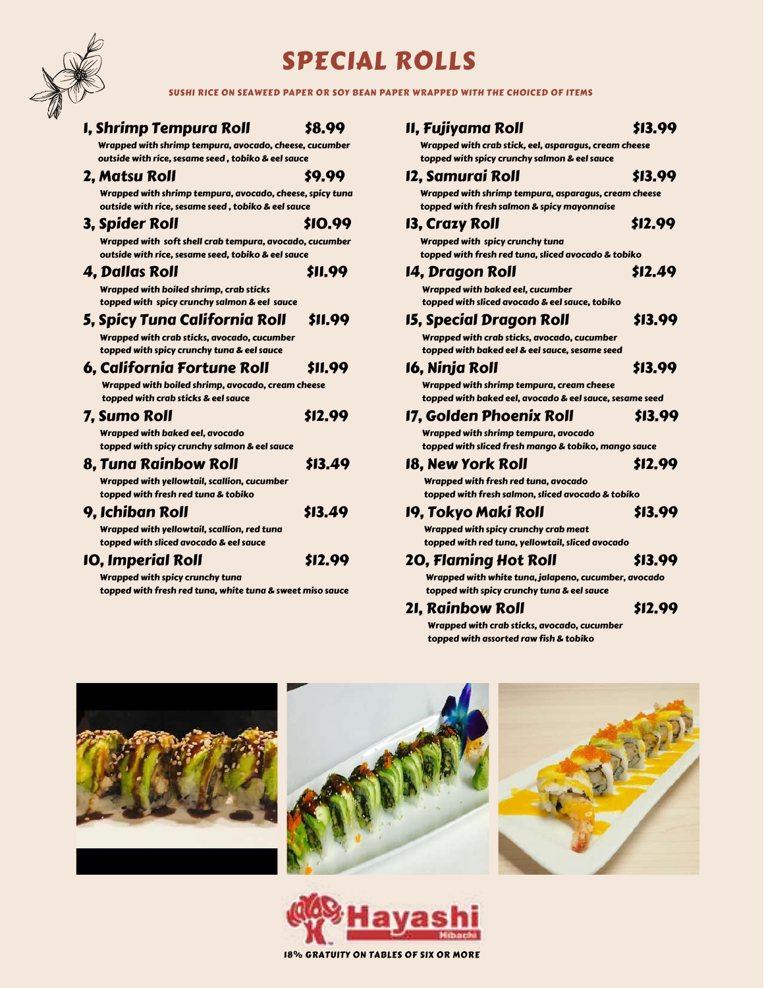

# SPECIAL ROLLS

SUSHI RICE ON SEAWEED PAPER OR SOY BEAN PAPER WRAPPED WITH THE CHOICED OF ITEMS

| I, Shrimp Tempura Roll                                                                                        | \$8.99  |
|---------------------------------------------------------------------------------------------------------------|---------|
| Wrapped with shrimp tempura, avocado, cheese, cucumber                                                        |         |
| outside with rice, sesame seed, tobiko & eel sauce                                                            |         |
| 2, Matsu Roll                                                                                                 | \$9.99  |
| Wrapped with shrimp tempura, avocado, cheese, spicy tuna                                                      |         |
| outside with rice, sesame seed, tobiko & eel sauce                                                            |         |
| 3, Spider Roll                                                                                                | \$10.99 |
| Wrapped with soft shell crab tempura, avocado, cucumber<br>outside with rice, sesame seed, tobiko & eel sauce |         |
| 4, Dallas Roll                                                                                                | \$11.99 |
| Wrapped with boiled shrimp, crab sticks<br>topped with spicy crunchy salmon & eel sauce                       |         |
| 5, Spicy Tuna California Roll                                                                                 | \$11.99 |
| Wrapped with crab sticks, avocado, cucumber                                                                   |         |
| topped with spicy crunchy tuna & eel sauce                                                                    |         |
| 6, California Fortune Roll                                                                                    | \$11.99 |
| Wrapped with boiled shrimp, avocado, cream cheese                                                             |         |
| topped with crab sticks & eel sauce                                                                           |         |
| 7. Sumo Roll                                                                                                  | \$12.99 |
| Wrapped with baked eel, avocado<br>topped with spicy crunchy salmon & eel sauce                               |         |
| 8. Tuna Rainbow Roll                                                                                          | \$13.49 |
| Wrapped with yellowtail, scallion, cucumber                                                                   |         |
| topped with fresh red tuna & tobiko                                                                           |         |
| 9, Ichiban Roll                                                                                               | \$13.49 |
| Wrapped with yellowtail, scallion, red tuna<br>topped with sliced avocado & eel sauce                         |         |
| <b>10, Imperial Roll</b>                                                                                      | \$12.99 |
| Wrapped with spicy crunchy tuna                                                                               |         |
| topped with fresh red tuna, white tuna & sweet miso sauce                                                     |         |

#### 11, Fujiyama Roll \$13.99 Wrapped with crab stick, eel, asparagus, cream cheese topped with spicy crunchy salmon & eel sauce

# 12. Samurai Roll **\$13.99**

 Wrapped with shrimp tempura, asparagus, cream cheese topped with fresh salmon & spicy mayonnaise

#### 13, Crazy Roll \$12.99

 Wrapped with spicy crunchy tuna topped with fresh red tuna, sliced avocado & tobiko

#### 14, Dragon Roll \$12.49

 Wrapped with baked eel, cucumber topped with sliced avocado & eel sauce, tobiko

### 15, Special Dragon Roll \$13.99

 Wrapped with crab sticks, avocado, cucumber topped with baked eel & eel sauce, sesame seed

#### 16. Ninja Roll **\$13.99**

 Wrapped with shrimp tempura, cream cheese topped with baked eel, avocado & eel sauce, sesame seed

#### 17, Golden Phoenix Roll \$13.99

 Wrapped with shrimp tempura, avocado topped with sliced fresh mango & tobiko, mango sauce

#### 18, New York Roll \$12.99

 Wrapped with fresh red tuna, avocado topped with fresh salmon, sliced avocado & tobiko

#### 19, Tokyo Maki Roll \$13.99

 Wrapped with spicy crunchy crab meat topped with red tuna, yellowtail, sliced avocado

### 20, Flaming Hot Roll \$13.99

 Wrapped with white tuna, jalapeno, cucumber, avocado topped with spicy crunchy tuna & eel sauce

### 21, Rainbow Roll \$12.99

 Wrapped with crab sticks, avocado, cucumber topped with assorted raw fish & tobiko







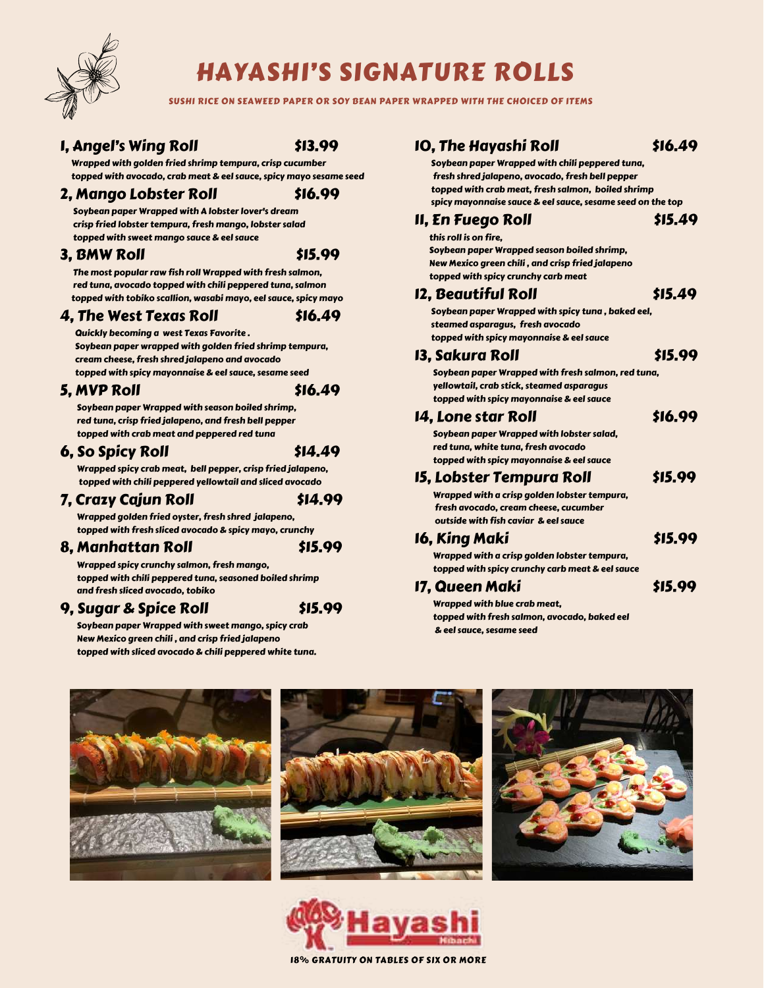

# HAYASHI'S SIGNATURE ROLLS

SUSHI RICE ON SEAWEED PAPER OR SOY BEAN PAPER WRAPPED WITH THE CHOICED OF ITEMS

### 1. Angel's Wing Roll **\$13.99**

 Wrapped with golden fried shrimp tempura, crisp cucumber topped with avocado, crab meat & eel sauce, spicy mayo sesame seed

#### 2, Mango Lobster Roll \$16.99

 Soybean paper Wrapped with A lobster lover's dream crisp fried lobster tempura, fresh mango, lobster salad topped with sweet mango sauce & eel sauce

### 3. BMW Roll \$15.99

 The most popular raw fish roll Wrapped with fresh salmon, red tuna, avocado topped with chili peppered tuna, salmon topped with tobiko scallion, wasabi mayo, eel sauce, spicy mayo

#### 4, The West Texas Roll \$16.49

 Quickly becoming a west Texas Favorite . Soybean paper wrapped with golden fried shrimp tempura, cream cheese, fresh shred jalapeno and avocado topped with spicy mayonnaise & eel sauce, sesame seed

5. MVP Roll \$16.49

 Soybean paper Wrapped with season boiled shrimp, red tuna, crisp fried jalapeno, and fresh bell pepper topped with crab meat and peppered red tuna

## $6. So Spicv Roll$  \$14.49

 Wrapped spicy crab meat, bell pepper, crisp fried jalapeno, topped with chili peppered yellowtail and sliced avocado

### 7, Crazy Cajun Roll \$14.99

 Wrapped golden fried oyster, fresh shred jalapeno, topped with fresh sliced avocado & spicy mayo, crunchy

#### 8. Manhattan Roll **\$15.99**

 Wrapped spicy crunchy salmon, fresh mango, topped with chili peppered tuna, seasoned boiled shrimp and fresh sliced avocado, tobiko

### 9, Sugar & Spice Roll  $$15.99$

 Soybean paper Wrapped with sweet mango, spicy crab New Mexico green chili , and crisp fried jalapeno topped with sliced avocado & chili peppered white tuna.

## 10. The Havashi Roll \$16.49

 Soybean paper Wrapped with chili peppered tuna, fresh shred jalapeno, avocado, fresh bell pepper topped with crab meat, fresh salmon, boiled shrimp spicy mayonnaise sauce & eel sauce, sesame seed on the top

### $II, En$  Fuego Roll  $$15.49$

 this roll is on fire, Soybean paper Wrapped season boiled shrimp, New Mexico green chili , and crisp fried jalapeno topped with spicy crunchy carb meat

### $12,$  Beautiful Roll  $$15,49$

 Soybean paper Wrapped with spicy tuna , baked eel, steamed asparagus, fresh avocado topped with spicy mayonnaise & eel sauce

### 13. Sakura Roll **\$15.99**

 Soybean paper Wrapped with fresh salmon, red tuna, yellowtail, crab stick, steamed asparagus topped with spicy mayonnaise & eel sauce

### 14. Lone star Roll **\$16.99**

 Soybean paper Wrapped with lobster salad, red tuna, white tuna, fresh avocado topped with spicy mayonnaise & eel sauce

### 15, Lobster Tempura Roll \$15.99

 Wrapped with a crisp golden lobster tempura, fresh avocado, cream cheese, cucumber outside with fish caviar & eel sauce

| 16, King Maki                                   | \$15.99 |
|-------------------------------------------------|---------|
| Wrapped with a crisp golden lobster tempura,    |         |
| topped with spicy crunchy carb meat & eel sauce |         |

### 17, Queen Maki \$15.99

 Wrapped with blue crab meat, topped with fresh salmon, avocado, baked eel & eel sauce, sesame seed